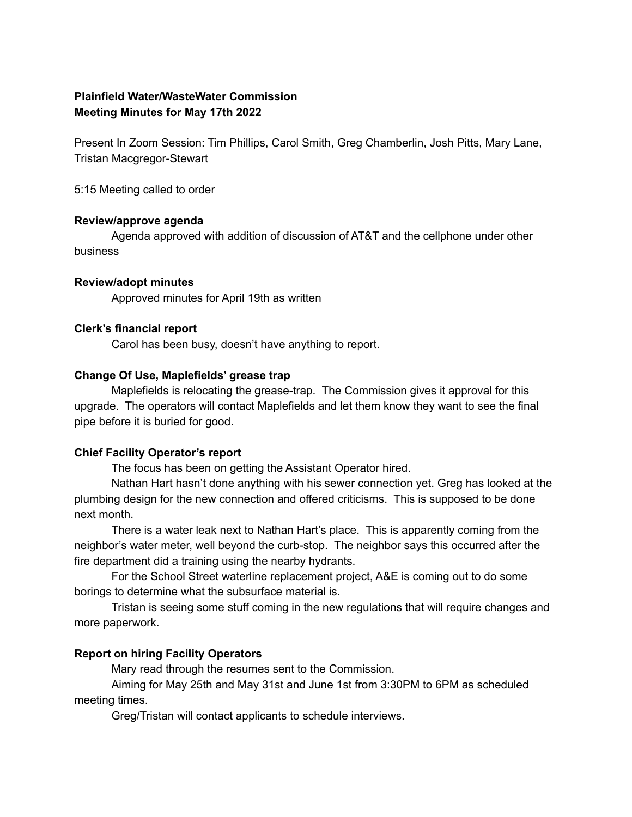# **Plainfield Water/WasteWater Commission Meeting Minutes for May 17th 2022**

Present In Zoom Session: Tim Phillips, Carol Smith, Greg Chamberlin, Josh Pitts, Mary Lane, Tristan Macgregor-Stewart

5:15 Meeting called to order

## **Review/approve agenda**

Agenda approved with addition of discussion of AT&T and the cellphone under other business

### **Review/adopt minutes**

Approved minutes for April 19th as written

### **Clerk's financial report**

Carol has been busy, doesn't have anything to report.

### **Change Of Use, Maplefields' grease trap**

Maplefields is relocating the grease-trap. The Commission gives it approval for this upgrade. The operators will contact Maplefields and let them know they want to see the final pipe before it is buried for good.

## **Chief Facility Operator's report**

The focus has been on getting the Assistant Operator hired.

Nathan Hart hasn't done anything with his sewer connection yet. Greg has looked at the plumbing design for the new connection and offered criticisms. This is supposed to be done next month.

There is a water leak next to Nathan Hart's place. This is apparently coming from the neighbor's water meter, well beyond the curb-stop. The neighbor says this occurred after the fire department did a training using the nearby hydrants.

For the School Street waterline replacement project, A&E is coming out to do some borings to determine what the subsurface material is.

Tristan is seeing some stuff coming in the new regulations that will require changes and more paperwork.

## **Report on hiring Facility Operators**

Mary read through the resumes sent to the Commission.

Aiming for May 25th and May 31st and June 1st from 3:30PM to 6PM as scheduled meeting times.

Greg/Tristan will contact applicants to schedule interviews.